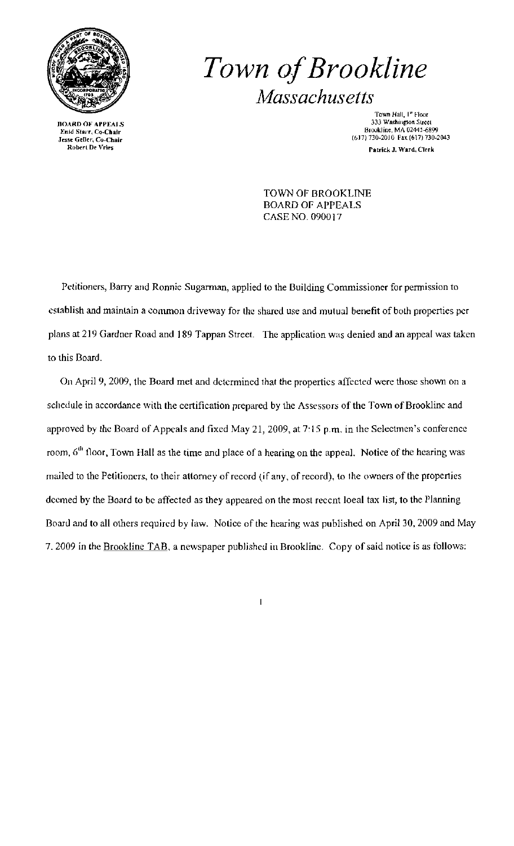

Roberl De Vries

## *Town ofBrookline Massachusetts*

Town Hall, <sup>1ª</sup> Floor<br>333 Washington Street BOARD OF APPEALS 333 Washington Street<br>Enid Starr, Co-Chair 313 Washington Street<br>Camera Street 313 Washington Street 313 Washington Street 313 Washington Street  $B_{\text{B}}$  Geller, Co-Chair (b) 730-2010 Fax (617) 730-2010 Fax (617) 730-2043 ratriek J. Ward, Clerk

> TOWN OF BROOKLINE BOARD OF APPEALS CASE NO. 090017

Petitioners, Barry and Ronnie Sugarman, applied to the Building Commissioner for permission to establish and maintain a common driveway for the shared use and mutual benefit of both properties per plans at 219 Gardner Road and 189 Tappan Street. The application was denied and an appeal was taken to this Board.

On April 9, 2009, the Board met and determined that the properties affected were those shown on a schedule in accordance with the certification prepared by the Assessors of the Town of Brookline and approved by the Board of Appeals and fixed May 21, 2009, at 7'15 p.m. in the Selectmen's conference room, 6<sup>th</sup> floor, Town Hall as the time and place of a hearing on the appeal. Notice of the hearing was mailed to the Petitioners, to their attorney of record (if any, of record), to the owners of the properties deemed by the Board to be affected as they appeared on the most recent loeal tax list, to the Planning Board and to all others required by law. Notice of the hearing was published on April 30, 2009 and May 7. 2009 in the Brookline TAB, a newspaper published in Brookline. Copy of said notice is as follows:

 $\overline{1}$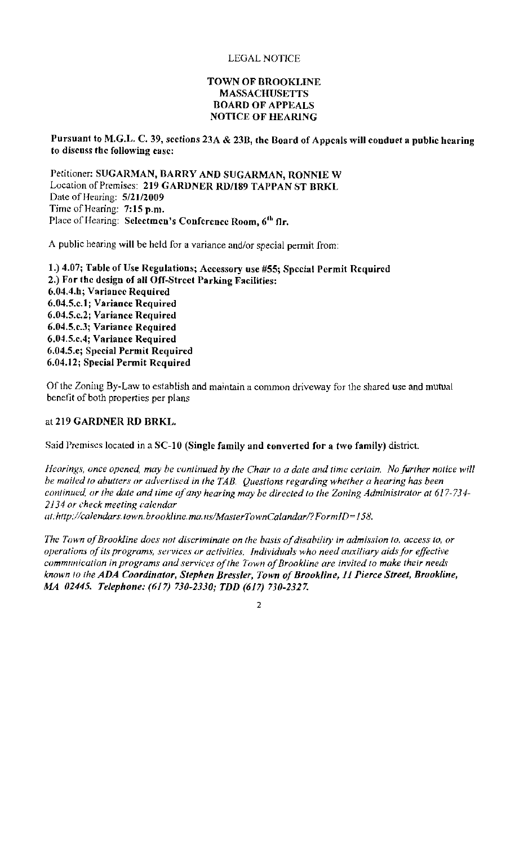## TOWN OF BROOKLINE MASSACHUSETTS **BOARD OF APPEALS** NOTICE OF HEARING

Pursuant to M.G.L. C. 39, sections 23A & 23B, the Board of Appeals will conduct a public hearing to discuss the following case:

Petitioner: SUGARMAN, BARRY AND SUGARMAN, RONNIE W Location of Premises: 219 GARDNER RD/189 TAPPAN ST BRKL Date of Hearing: 5/21/2009 Time of Hearing: 7:15 p.m. Place of Hearing: Selectmen's Conference Room, 6<sup>th</sup> flr.

A public hearing will be held for a variance and/or special permit from:

1.) 4.07; Table of Use Regulations; Accessory use #55; Special Permit Required 2.) For the design of all Off-Street Parking Facilities: 6.04.4.h; Variance Required 6.04.5.c.1; Variance Required 6.04.5.c.2; Variance Required 6.04.5.c.3; Variance Required 6.04.5.c.4; Variance Required 6.04.5.e; Special Permit Required 6.04.12; Special Permit Required

Of the Zoning By-Law to establish and maintain a common driveway for the shared use and mutual benefit of both properties per plans

## at 219 GARDNER RD BRKL.

Said Premises located in a SC-10 (Single family and converted for a two family) district.

*Hearings, once opened, may be continued by the Chair to a date and time certain. No further notice will be mailed to abutters or advertised in the TAB. Questions regarding whether a hearing has been* continued, or the date and time of any hearing may be directed to the Zoning Administrator at 617-734-*2134 or check meeting calendar* 

*at:hflp:/!calendars. town. brookline. ma. uslMasterTownCalandarl?FormlD=158.* 

The Town of Brookline does not discriminate on the basis of disability in admission to, access to, or *operations ofits programs, services or activilies. Individuals who need auxiliary aidsfor effective communication in programs and services of the Town of Brookline are invited to make their needs known fa the ADA Coordinator, Stephen Bressler, Town ofBrookline,* 11 *Pierce Street, Brookline, MA 02445. Telephone: (617) 730-2330; TDD* (617) *730-2327.* 

 $\overline{2}$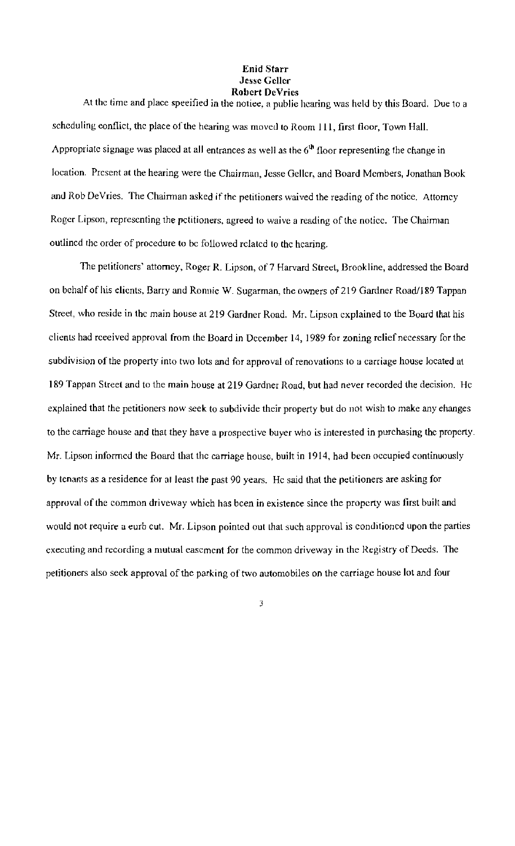## Enid Starr Jesse Geller Robert DeVries

At the time and place speeified in the notice, a public hearing was held by this Board. Due to a scheduling eonflict, the place of the hearing was moved to Room 111, first floor, Town Hall. Appropriate signage was placed at all entrances as well as the  $6<sup>th</sup>$  floor representing the change in location. Present at the hearing were the Chairman, Jesse Geller, and Board Members, Jonathan Book and Rob DeVries. The Chairman asked if the petitioners waived the reading of the notice. Attorney Roger Lipson, representing the petitioners, agreed to waive a reading of the notice. The Chairman outlined the order of procedure to be followed related to the hearing.

The petitioners' attorney, Roger R. Lipson, of 7 Harvard Street, Brookline, addressed the Board on behalf of his elients, Barry and Ronnie W. Sugarman, the owners of 219 Gardner Road/189 Tappan Streel, who reside in the main house at 219 Gardner Road. Mr. Lipson explained to the Board that his clients had rceeived approval from the Board in December 14, 1989 for zoning relief necessary for the subdivision of the property into two lots and for approval of renovations to a carriage house located at 189 Tappan Street and to the main house at 219 Gardner Road, but had never recorded the decision. He explained that the petitioners now seek to subdivide their property but do not wish to make any ehanges to the carriage house and that they have a prospective buyer who is interested in purchasing the property. Mr. Lipson informed the Board that the carriage house, built in 1914, had been occupied continuously by tenants as a residence for at least the past 90 years. He said that the petitioners are asking for approval of the common driveway which has been in existence since the property was first built and would not require a eurb cut. Mr. Lipson pointed out that such approval is conditioned upon the parties executing and recording a mutual easement for the common driveway in the Registry of Deeds. The petitioners also seek approval of the parking of two automobiles on the carriage house lot and four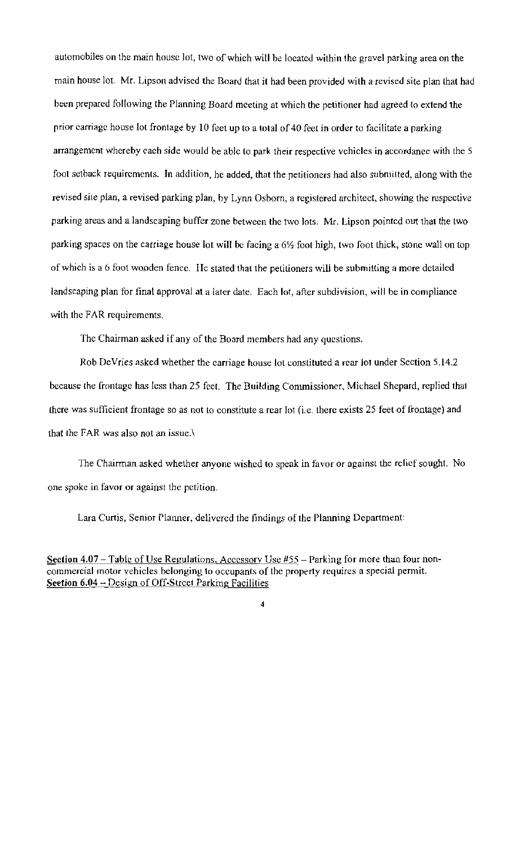automobiles on the main house lot, two of which will be located within the gravel parking area on the main house lot. Mr. Lipson advised the Board that it had been provided wilh a revised site plan that had been prepared following the Planning Board meeting at which the petitioner had agreed to extend the prior carriage house lot frontage by 10 feet up to a total of 40 feet in order to facilitate a parking arrangement whereby each side would be able to park their respective vehicles in accordance wilh the 5 foot setback requirements. In addition, he added, that the petitioners had also submitted, along with the revised site plan, a revised parking plan, by Lynn Osborn, a registered architect, showing the respective parking areas and a landscaping buffer zone between the two lots. Mr. Lipson pointed out that the two parking spaces on the carriage house lot will be facing a 6% foot high, two foot thick, stone wall on top of which is a 6 foot wooden fence. He stated that the petitioners will be submitting a more detailed landscaping plan for final approval at a later date. Each lot, after subdivision, will be in compliance with the FAR requirements.

The Chairman asked if any of the Board members had any questions.

Rob DeVries asked whether the carriage house lot constituted a rear lot under Section 5.14.2 because the frontage has less than 25 feet. The Building Conunissioner, Michael Shepard, replied that {here was sufficient frontage so as not to constitute a rcar lot (i.e. there exists *2S* feet of frontage) and that the FAR was also not an issue.\

The Chairman asked whether anyone wished to speak in favor or against the relief sought. No one spoke in favor or against the petition.

Lara Curtis, Senior Planner, delivered the findings of the Planning Department:

Section  $4.07 -$  Table of Use Regulations, Accessory Use  $#55 -$  Parking for more than four noncommercial motor vehicles belonging to occupants of the property requires a special permit. Scetion 6.04 - Design of Off-Street Parking Facilities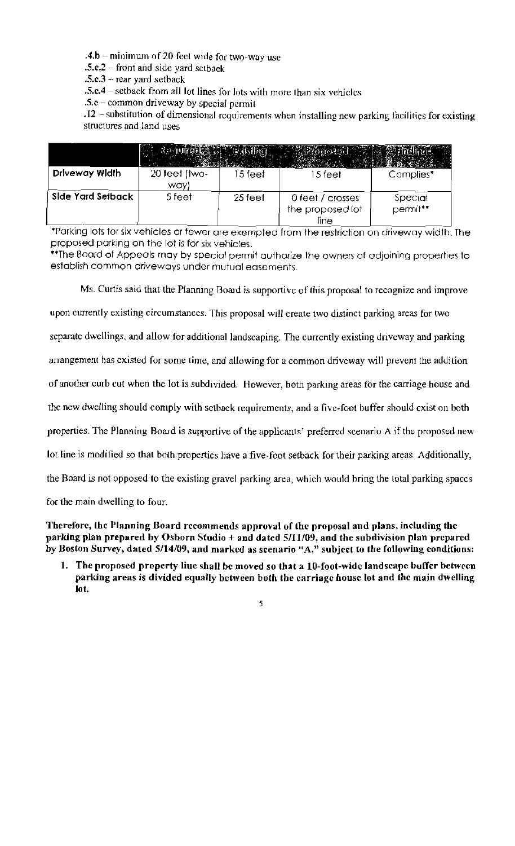.4.b -- minimum of 20 feet wide for two-way use

.5.c.2 - front and side yard setbaek

 $.5.c.3$  – rear yard setback

.s.cA - setback from all lot lines for Jots with more than six vehicles

 $.5.e$  – common driveway by special permit

.12 -- substitution of dimensional requirements when installing new parking facilities for existing structures and land uses

|                   | <b>Carry</b>            |           |                                              |                     |
|-------------------|-------------------------|-----------|----------------------------------------------|---------------------|
| Driveway Width    | $20$ feet (two-<br>way) | 15 feet   | 15 feet                                      | Complies*           |
| Side Yard Setback | 5 feet                  | $25$ feet | 0 feet / crosses<br>the proposed lot<br>line | Special<br>permit** |

·Parking lots for six vehicles or fewer are exempted from the restriction on driveway width. The proposed parking on the lof is for six vehicles.

\*\* The Board of Appeals may by special permit authorize the owners af adjoining properties to establish common driveways under mutual easements.

Ms. Curtis said that the Planning Board is supportive of this proposal to recognize and improve

upon currently existing circumstances. This proposal will create two distinct parking areas for two

separate dwellings, and allow for additional landscaping. The currently existing driveway and parking

arrangement has existed for some time, and allowing for a common driveway will prevent the addition

of another curb cut when the lot is subdivided. However, both parking areas for the carriage house and

the new dwelling should comply with setback requirements, and a five~foot buffer should exist on both

properties. The Planning Board is supportive of the applicants' preferred scenario A if the proposed new

lot line is modified so that both properties have a five~foot setback for their parking areas. Additionally,

the Board is not opposed to the existing gravel parking area, which would bring the lotal parking spaces

for the main dwelling to four.

Therefore, the Planning Board recommends approval of the proposal and plans, including the parking plan prepared by Osborn Studio + and dated *5/11109,* and the subdivision plan prepared by Boston Survey, dated 5/14/09, and marked as scenario "A," subject to the following conditions:

1. The proposed property liue shall be moved so that a 10-foot-wide landscape buffer between parking areas is divided equally between both the carriage house lot and the main dwelling lot.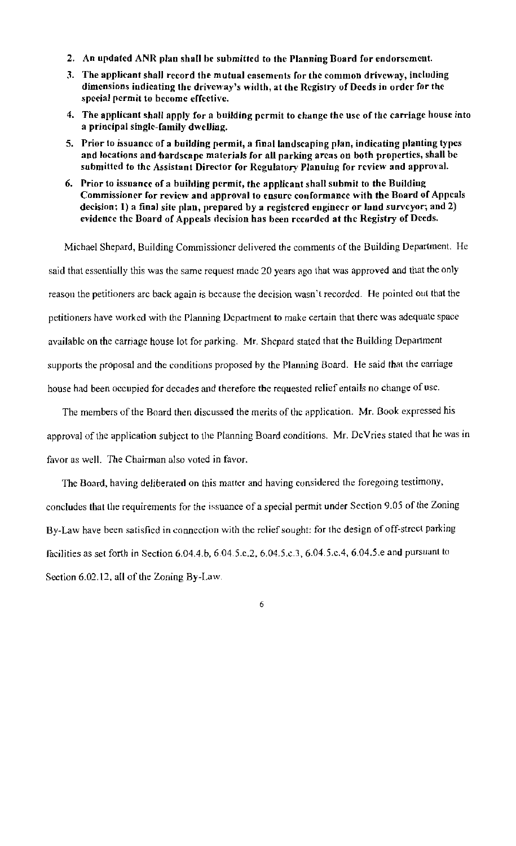- 2. An updated ANR plan shall be submitted to the Planning Board for endorsement.
- 3. The applicant shall record the mutual casements for the common driveway, including dimensions indieating the driveway's width, at the Registry of Deeds in order for the special permit to become effective.
- 4. The applicant shall apply for a building permit to change the use of the carriage house into a principal single-family dwelling.
- 5. Prior to issuance of a building permit, a final landscaping plan, indicating planting types and locations and hardscape materials for all parking areas on both properties, shall be submitted to the Assistant Director for Regulatory Planuing for review and approval.
- 6. Prior to issuance of a building permit, the applicant shall submit to the Building Commissioner for review and approval to ensure conformance with the Board of Appeals decision: 1) a final site plan, prepared by a registered engineer or land surveyor; and 2) evidence the Board of Appeals decision has been recorded at the Registry of Deeds.

Michael Shepard, Building Commissioner delivered the comments of the Building Department. He said that essentially this was the same request made 20 years ago that was approved and that the only reason the petitioners arc back again is because the decision wasn't recorded. He pointed out that the petitioners have worked with the Planning Department to make certain that there was adequate space available on the carriage house lot for parking. Mr. Shepard stated that the Building Department supports the proposal and the conditions proposed by the Planning Board. He said that the carriage house had been occupied for decades and therefore tbe requested relief entails no change of use.

The members of the Board then discussed the merits of the application. Mr. Book expressed his approval of the application subject to the Planning Board conditions. Mr. DeVries stated that he was in favor as well. The Chairman also voted in favor.

The Board, having deliberated on this matter and having considered the foregoing testimony. concludes thai the requirements for the issuance of a special permit under Section 9.05 of the Zoning By-Law have been satisfied in connection with the relief sought: for the design of off-street parking facilities as set forth in Section 6.04.4.b, 6.04.5.c.2, 6.04.5.c.3, 6.04.5.c.4, 6.04.5.e and pursuant to Section 6.02.12, all of the Zoning By-Law.